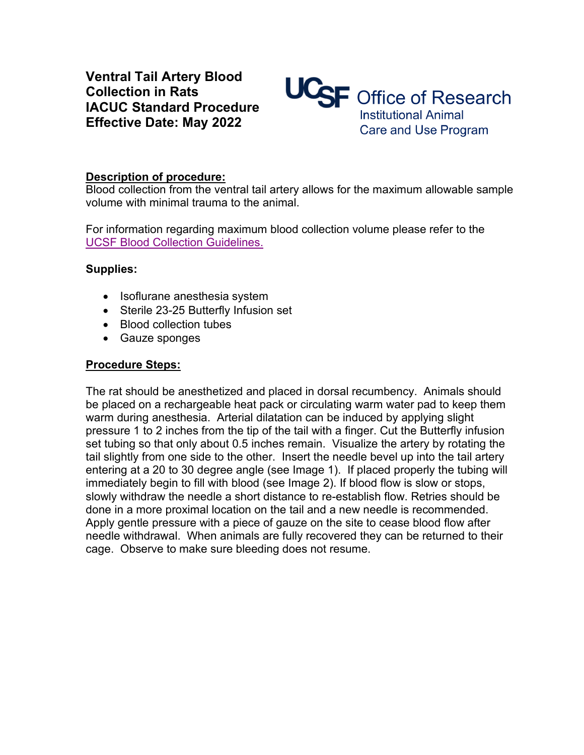**Ventral Tail Artery Blood Collection in Rats IACUC Standard Procedure Effective Date: May 2022**



### **Description of procedure:**

Blood collection from the ventral tail artery allows for the maximum allowable sample volume with minimal trauma to the animal.

For information regarding maximum blood collection volume please refer to the [UCSF Blood Collection Guidelines.](https://iacuc.ucsf.edu/sites/g/files/tkssra751/f/wysiwyg/GUIDELINE%20-%20Blood%20Collection%20-%20Rat.pdf)

## **Supplies:**

- Isoflurane anesthesia system
- Sterile 23-25 Butterfly Infusion set
- Blood collection tubes
- Gauze sponges

## **Procedure Steps:**

The rat should be anesthetized and placed in dorsal recumbency. Animals should be placed on a rechargeable heat pack or circulating warm water pad to keep them warm during anesthesia. Arterial dilatation can be induced by applying slight pressure 1 to 2 inches from the tip of the tail with a finger. Cut the Butterfly infusion set tubing so that only about 0.5 inches remain. Visualize the artery by rotating the tail slightly from one side to the other. Insert the needle bevel up into the tail artery entering at a 20 to 30 degree angle (see Image 1). If placed properly the tubing will immediately begin to fill with blood (see Image 2). If blood flow is slow or stops, slowly withdraw the needle a short distance to re-establish flow. Retries should be done in a more proximal location on the tail and a new needle is recommended. Apply gentle pressure with a piece of gauze on the site to cease blood flow after needle withdrawal. When animals are fully recovered they can be returned to their cage. Observe to make sure bleeding does not resume.